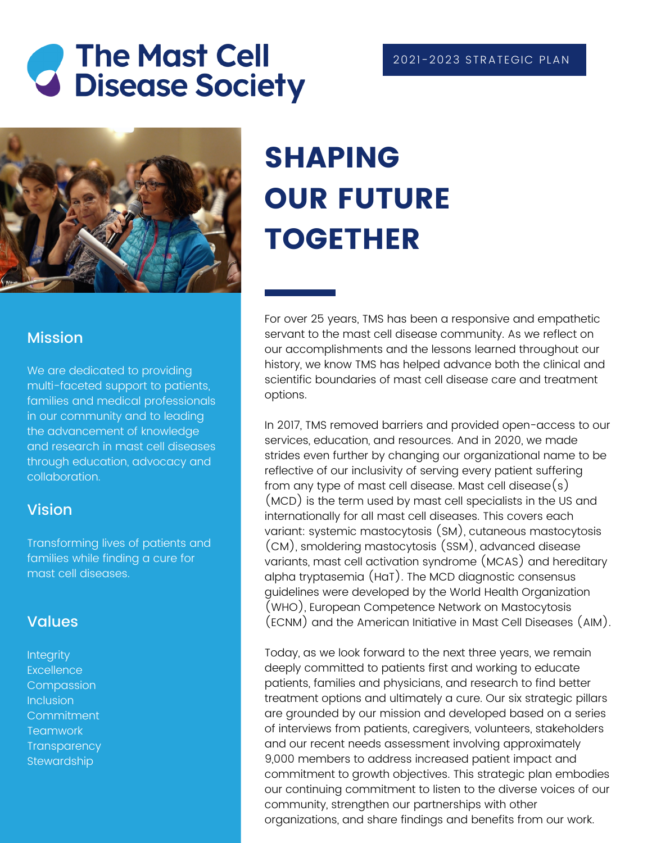# *C* The Mast Cell<br>**G** Disease Society



#### Mission

We are dedicated to providing multi-faceted support to patients, families and medical professionals in our community and to leading the advancement of knowledge and research in mast cell diseases through education, advocacy and collaboration.

#### Vision

Transforming lives of patients and families while finding a cure for mast cell diseases.

#### Values

**Integrity Excellence Compassion** Inclusion **Commitment Teamwork Transparency Stewardship** 

## SHAPING **OUR FUTURE** TOGETHER

For over 25 years, TMS has been a responsive and empathetic servant to the mast cell disease community. As we reflect on our accomplishments and the lessons learned throughout our history, we know TMS has helped advance both the clinical and scientific boundaries of mast cell disease care and treatment options.

In 2017, TMS removed barriers and provided open-access to our services, education, and resources. And in 2020, we made strides even further by changing our organizational name to be reflective of our inclusivity of serving every patient suffering from any type of mast cell disease. Mast cell disease $(s)$ (MCD) is the term used by mast cell specialists in the US and internationally for all mast cell diseases. This covers each variant: systemic mastocytosis (SM), cutaneous mastocytosis (CM), smoldering mastocytosis (SSM), advanced disease variants, mast cell activation syndrome (MCAS) and hereditary alpha tryptasemia (HaT). The MCD diagnostic consensus guidelines were developed by the World Health Organization (WHO), European Competence Network on Mastocytosis (ECNM) and the American Initiative in Mast Cell Diseases (AIM).

Today, as we look forward to the next three years, we remain deeply committed to patients first and working to educate patients, families and physicians, and research to find better treatment options and ultimately a cure. Our six strategic pillars are grounded by our mission and developed based on a series of interviews from patients, caregivers, volunteers, stakeholders and our recent needs assessment involving approximately 9,000 members to address increased patient impact and commitment to growth objectives. This strategic plan embodies our continuing commitment to listen to the diverse voices of our community, strengthen our partnerships with other organizations, and share findings and benefits from our work.